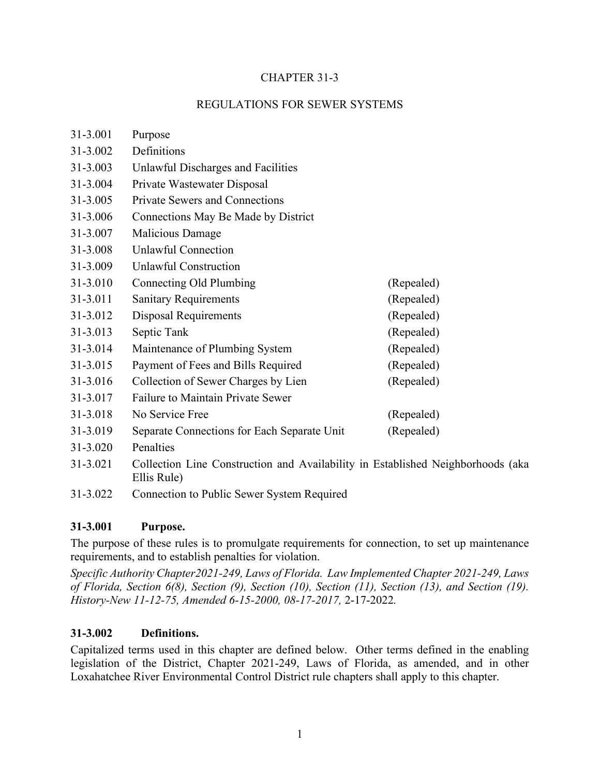### CHAPTER 31-3

### REGULATIONS FOR SEWER SYSTEMS

| 31-3.001 | Purpose                                     |            |
|----------|---------------------------------------------|------------|
| 31-3.002 | Definitions                                 |            |
| 31-3.003 | Unlawful Discharges and Facilities          |            |
| 31-3.004 | Private Wastewater Disposal                 |            |
| 31-3.005 | <b>Private Sewers and Connections</b>       |            |
| 31-3.006 | Connections May Be Made by District         |            |
| 31-3.007 | Malicious Damage                            |            |
| 31-3.008 | Unlawful Connection                         |            |
| 31-3.009 | <b>Unlawful Construction</b>                |            |
| 31-3.010 | Connecting Old Plumbing                     | (Repealed) |
| 31-3.011 | <b>Sanitary Requirements</b>                | (Repealed) |
| 31-3.012 | <b>Disposal Requirements</b>                | (Repealed) |
| 31-3.013 | Septic Tank                                 | (Repealed) |
| 31-3.014 | Maintenance of Plumbing System              | (Repealed) |
| 31-3.015 | Payment of Fees and Bills Required          | (Repealed) |
| 31-3.016 | Collection of Sewer Charges by Lien         | (Repealed) |
| 31-3.017 | <b>Failure to Maintain Private Sewer</b>    |            |
| 31-3.018 | No Service Free                             | (Repealed) |
| 31-3.019 | Separate Connections for Each Separate Unit | (Repealed) |
| 31-3.020 | Penalties                                   |            |
|          |                                             |            |

- 31-3.021 Collection Line Construction and Availability in Established Neighborhoods (aka Ellis Rule)
- 31-3.022 Connection to Public Sewer System Required

### **31-3.001 Purpose.**

The purpose of these rules is to promulgate requirements for connection, to set up maintenance requirements, and to establish penalties for violation.

*Specific Authority Chapter2021-249, Laws of Florida. Law Implemented Chapter 2021-249, Laws of Florida, Section 6(8), Section (9), Section (10), Section (11), Section (13), and Section (19). History-New 11-12-75, Amended 6-15-2000, 08-17-2017,* 2-17-2022*.*

### **31-3.002 Definitions.**

Capitalized terms used in this chapter are defined below. Other terms defined in the enabling legislation of the District, Chapter 2021-249, Laws of Florida, as amended, and in other Loxahatchee River Environmental Control District rule chapters shall apply to this chapter.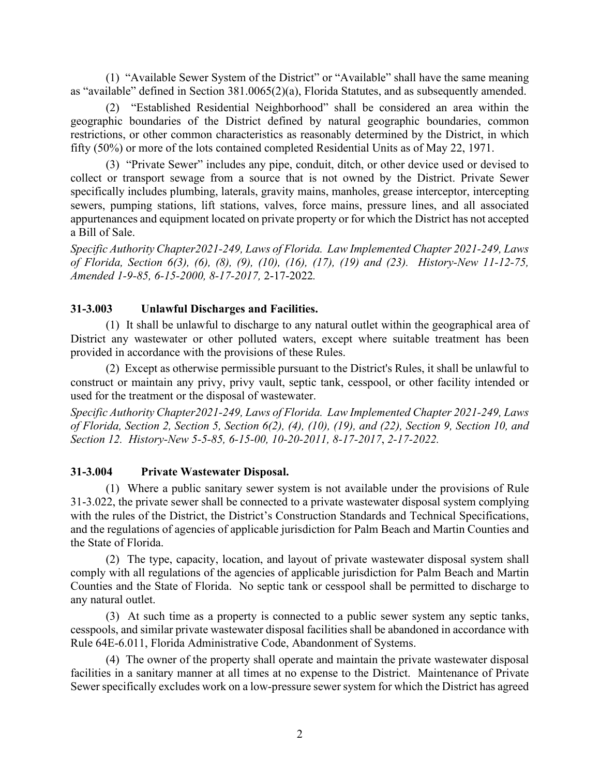(1) "Available Sewer System of the District" or "Available" shall have the same meaning as "available" defined in Section 381.0065(2)(a), Florida Statutes, and as subsequently amended.

(2) "Established Residential Neighborhood" shall be considered an area within the geographic boundaries of the District defined by natural geographic boundaries, common restrictions, or other common characteristics as reasonably determined by the District, in which fifty (50%) or more of the lots contained completed Residential Units as of May 22, 1971.

(3) "Private Sewer" includes any pipe, conduit, ditch, or other device used or devised to collect or transport sewage from a source that is not owned by the District. Private Sewer specifically includes plumbing, laterals, gravity mains, manholes, grease interceptor, intercepting sewers, pumping stations, lift stations, valves, force mains, pressure lines, and all associated appurtenances and equipment located on private property or for which the District has not accepted a Bill of Sale.

*Specific Authority Chapter2021-249, Laws of Florida. Law Implemented Chapter 2021-249, Laws of Florida, Section 6(3), (6), (8), (9), (10), (16), (17), (19) and (23). History-New 11-12-75, Amended 1-9-85, 6-15-2000, 8-17-2017,* 2-17-2022*.*

### **31-3.003 Unlawful Discharges and Facilities.**

(1) It shall be unlawful to discharge to any natural outlet within the geographical area of District any wastewater or other polluted waters, except where suitable treatment has been provided in accordance with the provisions of these Rules.

(2) Except as otherwise permissible pursuant to the District's Rules, it shall be unlawful to construct or maintain any privy, privy vault, septic tank, cesspool, or other facility intended or used for the treatment or the disposal of wastewater.

*Specific Authority Chapter2021-249, Laws of Florida. Law Implemented Chapter 2021-249, Laws of Florida, Section 2, Section 5, Section 6(2), (4), (10), (19), and (22), Section 9, Section 10, and Section 12. History-New 5-5-85, 6-15-00, 10-20-2011, 8-17-2017*, *2-17-2022.*

### **31-3.004 Private Wastewater Disposal.**

(1) Where a public sanitary sewer system is not available under the provisions of Rule 31-3.022, the private sewer shall be connected to a private wastewater disposal system complying with the rules of the District, the District's Construction Standards and Technical Specifications, and the regulations of agencies of applicable jurisdiction for Palm Beach and Martin Counties and the State of Florida.

(2) The type, capacity, location, and layout of private wastewater disposal system shall comply with all regulations of the agencies of applicable jurisdiction for Palm Beach and Martin Counties and the State of Florida. No septic tank or cesspool shall be permitted to discharge to any natural outlet.

(3) At such time as a property is connected to a public sewer system any septic tanks, cesspools, and similar private wastewater disposal facilities shall be abandoned in accordance with Rule 64E-6.011, Florida Administrative Code, Abandonment of Systems.

(4) The owner of the property shall operate and maintain the private wastewater disposal facilities in a sanitary manner at all times at no expense to the District. Maintenance of Private Sewer specifically excludes work on a low-pressure sewer system for which the District has agreed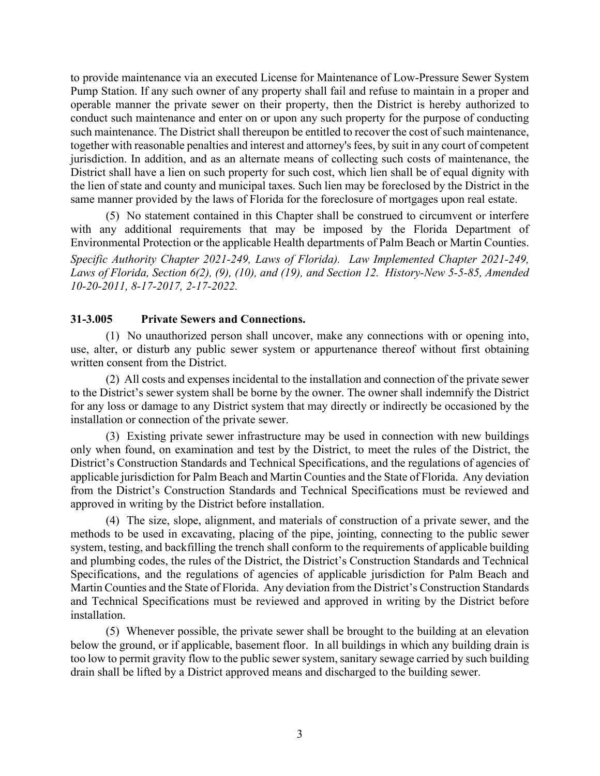to provide maintenance via an executed License for Maintenance of Low-Pressure Sewer System Pump Station. If any such owner of any property shall fail and refuse to maintain in a proper and operable manner the private sewer on their property, then the District is hereby authorized to conduct such maintenance and enter on or upon any such property for the purpose of conducting such maintenance. The District shall thereupon be entitled to recover the cost of such maintenance, together with reasonable penalties and interest and attorney's fees, by suit in any court of competent jurisdiction. In addition, and as an alternate means of collecting such costs of maintenance, the District shall have a lien on such property for such cost, which lien shall be of equal dignity with the lien of state and county and municipal taxes. Such lien may be foreclosed by the District in the same manner provided by the laws of Florida for the foreclosure of mortgages upon real estate.

(5) No statement contained in this Chapter shall be construed to circumvent or interfere with any additional requirements that may be imposed by the Florida Department of Environmental Protection or the applicable Health departments of Palm Beach or Martin Counties. *Specific Authority Chapter 2021-249, Laws of Florida). Law Implemented Chapter 2021-249, Laws of Florida, Section 6(2), (9), (10), and (19), and Section 12. History-New 5-5-85, Amended 10-20-2011, 8-17-2017, 2-17-2022.*

### **31-3.005 Private Sewers and Connections.**

(1) No unauthorized person shall uncover, make any connections with or opening into, use, alter, or disturb any public sewer system or appurtenance thereof without first obtaining written consent from the District.

(2) All costs and expenses incidental to the installation and connection of the private sewer to the District's sewer system shall be borne by the owner. The owner shall indemnify the District for any loss or damage to any District system that may directly or indirectly be occasioned by the installation or connection of the private sewer.

(3) Existing private sewer infrastructure may be used in connection with new buildings only when found, on examination and test by the District, to meet the rules of the District, the District's Construction Standards and Technical Specifications, and the regulations of agencies of applicable jurisdiction for Palm Beach and Martin Counties and the State of Florida. Any deviation from the District's Construction Standards and Technical Specifications must be reviewed and approved in writing by the District before installation.

(4) The size, slope, alignment, and materials of construction of a private sewer, and the methods to be used in excavating, placing of the pipe, jointing, connecting to the public sewer system, testing, and backfilling the trench shall conform to the requirements of applicable building and plumbing codes, the rules of the District, the District's Construction Standards and Technical Specifications, and the regulations of agencies of applicable jurisdiction for Palm Beach and Martin Counties and the State of Florida. Any deviation from the District's Construction Standards and Technical Specifications must be reviewed and approved in writing by the District before installation.

(5) Whenever possible, the private sewer shall be brought to the building at an elevation below the ground, or if applicable, basement floor. In all buildings in which any building drain is too low to permit gravity flow to the public sewer system, sanitary sewage carried by such building drain shall be lifted by a District approved means and discharged to the building sewer.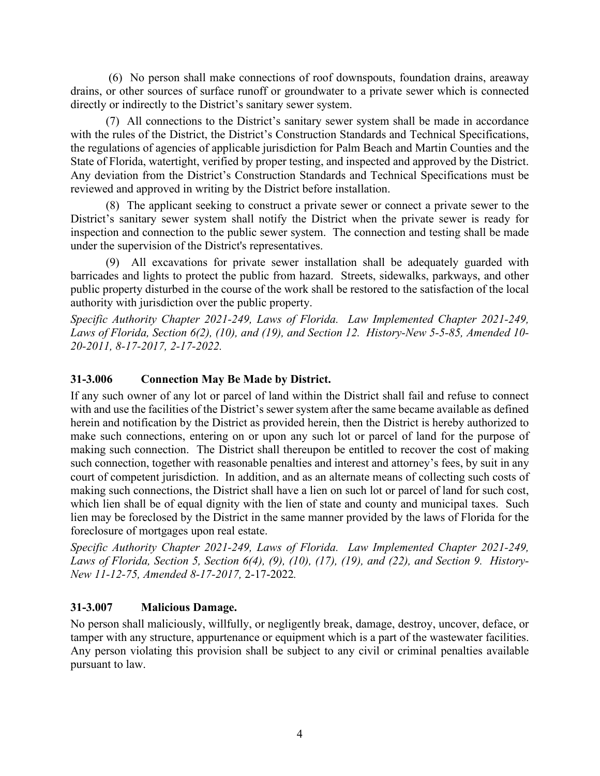(6) No person shall make connections of roof downspouts, foundation drains, areaway drains, or other sources of surface runoff or groundwater to a private sewer which is connected directly or indirectly to the District's sanitary sewer system.

(7) All connections to the District's sanitary sewer system shall be made in accordance with the rules of the District, the District's Construction Standards and Technical Specifications, the regulations of agencies of applicable jurisdiction for Palm Beach and Martin Counties and the State of Florida, watertight, verified by proper testing, and inspected and approved by the District. Any deviation from the District's Construction Standards and Technical Specifications must be reviewed and approved in writing by the District before installation.

(8) The applicant seeking to construct a private sewer or connect a private sewer to the District's sanitary sewer system shall notify the District when the private sewer is ready for inspection and connection to the public sewer system. The connection and testing shall be made under the supervision of the District's representatives.

(9) All excavations for private sewer installation shall be adequately guarded with barricades and lights to protect the public from hazard. Streets, sidewalks, parkways, and other public property disturbed in the course of the work shall be restored to the satisfaction of the local authority with jurisdiction over the public property.

*Specific Authority Chapter 2021-249, Laws of Florida. Law Implemented Chapter 2021-249, Laws of Florida, Section 6(2), (10), and (19), and Section 12. History-New 5-5-85, Amended 10- 20-2011, 8-17-2017, 2-17-2022.*

## **31-3.006 Connection May Be Made by District.**

If any such owner of any lot or parcel of land within the District shall fail and refuse to connect with and use the facilities of the District's sewer system after the same became available as defined herein and notification by the District as provided herein, then the District is hereby authorized to make such connections, entering on or upon any such lot or parcel of land for the purpose of making such connection. The District shall thereupon be entitled to recover the cost of making such connection, together with reasonable penalties and interest and attorney's fees, by suit in any court of competent jurisdiction. In addition, and as an alternate means of collecting such costs of making such connections, the District shall have a lien on such lot or parcel of land for such cost, which lien shall be of equal dignity with the lien of state and county and municipal taxes. Such lien may be foreclosed by the District in the same manner provided by the laws of Florida for the foreclosure of mortgages upon real estate.

*Specific Authority Chapter 2021-249, Laws of Florida. Law Implemented Chapter 2021-249, Laws of Florida, Section 5, Section 6(4), (9), (10), (17), (19), and (22), and Section 9. History-New 11-12-75, Amended 8-17-2017,* 2-17-2022*.*

### **31-3.007 Malicious Damage.**

No person shall maliciously, willfully, or negligently break, damage, destroy, uncover, deface, or tamper with any structure, appurtenance or equipment which is a part of the wastewater facilities. Any person violating this provision shall be subject to any civil or criminal penalties available pursuant to law.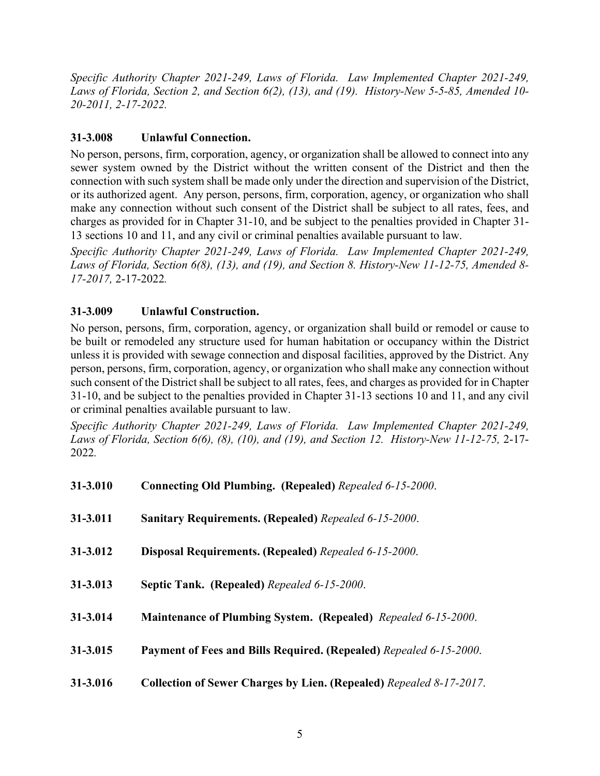*Specific Authority Chapter 2021-249, Laws of Florida. Law Implemented Chapter 2021-249, Laws of Florida, Section 2, and Section 6(2), (13), and (19). History-New 5-5-85, Amended 10- 20-2011, 2-17-2022.*

# **31-3.008 Unlawful Connection.**

No person, persons, firm, corporation, agency, or organization shall be allowed to connect into any sewer system owned by the District without the written consent of the District and then the connection with such system shall be made only under the direction and supervision of the District, or its authorized agent. Any person, persons, firm, corporation, agency, or organization who shall make any connection without such consent of the District shall be subject to all rates, fees, and charges as provided for in Chapter 31-10, and be subject to the penalties provided in Chapter 31- 13 sections 10 and 11, and any civil or criminal penalties available pursuant to law.

*Specific Authority Chapter 2021-249, Laws of Florida. Law Implemented Chapter 2021-249, Laws of Florida, Section 6(8), (13), and (19), and Section 8. History-New 11-12-75, Amended 8- 17-2017,* 2-17-2022*.*

# **31-3.009 Unlawful Construction.**

No person, persons, firm, corporation, agency, or organization shall build or remodel or cause to be built or remodeled any structure used for human habitation or occupancy within the District unless it is provided with sewage connection and disposal facilities, approved by the District. Any person, persons, firm, corporation, agency, or organization who shall make any connection without such consent of the District shall be subject to all rates, fees, and charges as provided for in Chapter 31-10, and be subject to the penalties provided in Chapter 31-13 sections 10 and 11, and any civil or criminal penalties available pursuant to law.

*Specific Authority Chapter 2021-249, Laws of Florida. Law Implemented Chapter 2021-249, Laws of Florida, Section 6(6), (8), (10), and (19), and Section 12. History-New 11-12-75,* 2-17- 2022*.*

| 31-3.010 | Connecting Old Plumbing. (Repealed) Repealed 6-15-2000.             |
|----------|---------------------------------------------------------------------|
| 31-3.011 | <b>Sanitary Requirements. (Repealed)</b> Repealed 6-15-2000.        |
| 31-3.012 | Disposal Requirements. (Repealed) Repealed 6-15-2000.               |
| 31-3.013 | Septic Tank. (Repealed) Repealed 6-15-2000.                         |
| 31-3.014 | Maintenance of Plumbing System. (Repealed) Repealed 6-15-2000.      |
| 31-3.015 | Payment of Fees and Bills Required. (Repealed) Repealed 6-15-2000.  |
| 31-3.016 | Collection of Sewer Charges by Lien. (Repealed) Repealed 8-17-2017. |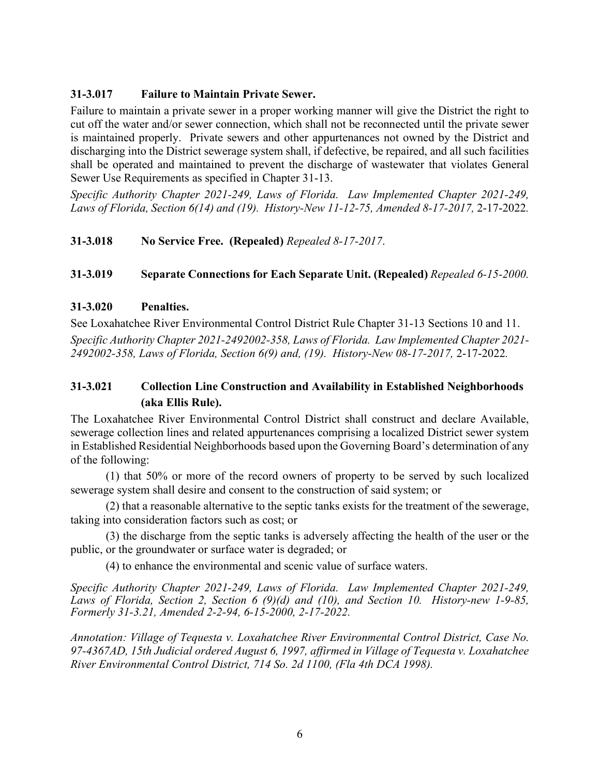### **31-3.017 Failure to Maintain Private Sewer.**

Failure to maintain a private sewer in a proper working manner will give the District the right to cut off the water and/or sewer connection, which shall not be reconnected until the private sewer is maintained properly. Private sewers and other appurtenances not owned by the District and discharging into the District sewerage system shall, if defective, be repaired, and all such facilities shall be operated and maintained to prevent the discharge of wastewater that violates General Sewer Use Requirements as specified in Chapter 31-13.

*Specific Authority Chapter 2021-249, Laws of Florida. Law Implemented Chapter 2021-249, Laws of Florida, Section 6(14) and (19). History-New 11-12-75, Amended 8-17-2017,* 2-17-2022*.*

## **31-3.018 No Service Free. (Repealed)** *Repealed 8-17-2017*.

## **31-3.019 Separate Connections for Each Separate Unit. (Repealed)** *Repealed 6-15-2000.*

### **31-3.020 Penalties.**

See Loxahatchee River Environmental Control District Rule Chapter 31-13 Sections 10 and 11.

*Specific Authority Chapter 2021-2492002-358, Laws of Florida. Law Implemented Chapter 2021- 2492002-358, Laws of Florida, Section 6(9) and, (19). History-New 08-17-2017,* 2-17-2022*.*

# **31-3.021 Collection Line Construction and Availability in Established Neighborhoods (aka Ellis Rule).**

The Loxahatchee River Environmental Control District shall construct and declare Available, sewerage collection lines and related appurtenances comprising a localized District sewer system in Established Residential Neighborhoods based upon the Governing Board's determination of any of the following:

(1) that 50% or more of the record owners of property to be served by such localized sewerage system shall desire and consent to the construction of said system; or

(2) that a reasonable alternative to the septic tanks exists for the treatment of the sewerage, taking into consideration factors such as cost; or

(3) the discharge from the septic tanks is adversely affecting the health of the user or the public, or the groundwater or surface water is degraded; or

(4) to enhance the environmental and scenic value of surface waters.

*Specific Authority Chapter 2021-249, Laws of Florida. Law Implemented Chapter 2021-249, Laws of Florida, Section 2, Section 6 (9)(d) and (10), and Section 10. History-new 1-9-85, Formerly 31-3.21, Amended 2-2-94, 6-15-2000, 2-17-2022.* 

*Annotation: Village of Tequesta v. Loxahatchee River Environmental Control District, Case No. 97-4367AD, 15th Judicial ordered August 6, 1997, affirmed in Village of Tequesta v. Loxahatchee River Environmental Control District, 714 So. 2d 1100, (Fla 4th DCA 1998).*